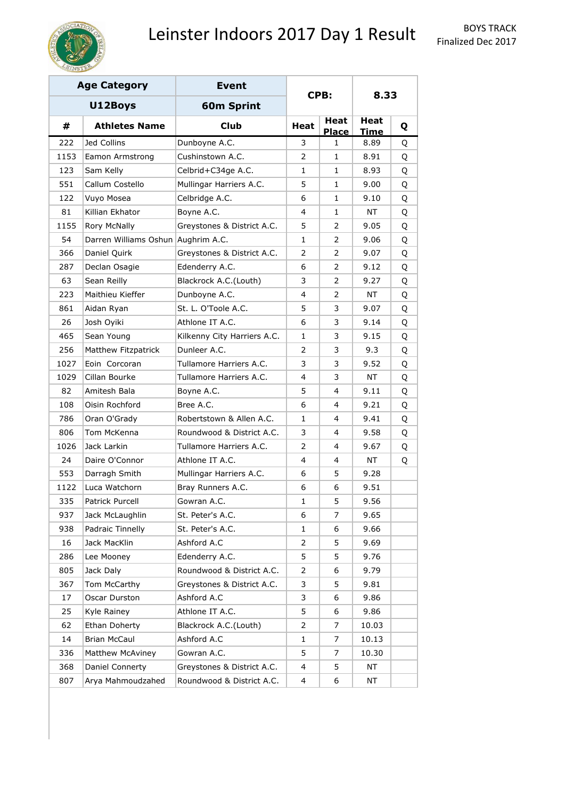

|      | <b>Age Category</b>                | <b>Event</b>                |                |                      |                     |   |
|------|------------------------------------|-----------------------------|----------------|----------------------|---------------------|---|
|      | U12Boys                            | <b>60m Sprint</b>           |                | CPB:                 | 8.33                |   |
| #    | <b>Athletes Name</b>               | <b>Club</b>                 | Heat           | Heat<br><b>Place</b> | Heat<br><b>Time</b> | Q |
| 222  | Jed Collins                        | Dunboyne A.C.               | 3              | $\mathbf{1}$         | 8.89                | Q |
| 1153 | Eamon Armstrong                    | Cushinstown A.C.            | $\mathcal{P}$  | $\mathbf{1}$         | 8.91                | Q |
| 123  | Sam Kelly                          | Celbrid+C34ge A.C.          | 1              | 1                    | 8.93                | Q |
| 551  | Callum Costello                    | Mullingar Harriers A.C.     | 5<br>1         |                      | 9.00                | Q |
| 122  | Vuyo Mosea                         | Celbridge A.C.              | 6              | 1                    | 9.10                | Q |
| 81   | Killian Ekhator                    | Boyne A.C.                  | 4              | $\mathbf{1}$         | NΤ                  | Q |
| 1155 | Rory McNally                       | Greystones & District A.C.  | 5              | 2                    | 9.05                | Q |
| 54   | Darren Williams Oshun Aughrim A.C. |                             | $\mathbf{1}$   | 2                    | 9.06                | Q |
| 366  | Daniel Quirk                       | Greystones & District A.C.  | 2              | 2                    | 9.07                | Q |
| 287  | Declan Osagie                      | Edenderry A.C.              | 6              | 2                    | 9.12                | Q |
| 63   | Sean Reilly                        | Blackrock A.C.(Louth)       | 3              | 2                    | 9.27                | Q |
| 223  | Maithieu Kieffer                   | Dunboyne A.C.               | 4              | 2                    | NΤ                  | Q |
| 861  | Aidan Ryan                         | St. L. O'Toole A.C.         | 5              | 3                    | 9.07                | Q |
| 26   | Josh Oyiki                         | Athlone IT A.C.             | 6              | 3                    | 9.14                | Q |
| 465  | Sean Young                         | Kilkenny City Harriers A.C. | 1              | 3                    | 9.15                | Q |
| 256  | Matthew Fitzpatrick                | Dunleer A.C.                | 2              | 3                    | 9.3                 | Q |
| 1027 | Eoin Corcoran                      | Tullamore Harriers A.C.     | 3              | 3                    | 9.52                | Q |
| 1029 | Cillan Bourke                      | Tullamore Harriers A.C.     | 4              | 3                    | NΤ                  | Q |
| 82   | Amitesh Bala                       | Boyne A.C.                  | 5              | 4                    | 9.11                | Q |
| 108  | Oisin Rochford                     | Bree A.C.                   | 6              | 4                    | 9.21                | Q |
| 786  | Oran O'Grady                       | Robertstown & Allen A.C.    | 1              | 4                    | 9.41                | Q |
| 806  | Tom McKenna                        | Roundwood & District A.C.   | 3              | 4                    | 9.58                | Q |
| 1026 | Jack Larkin                        | Tullamore Harriers A.C.     | 2              | 4                    | 9.67                | Q |
| 24   | Daire O'Connor                     | Athlone IT A.C.             | 4              | 4                    | NΤ                  | Q |
| 553  | Darragh Smith                      | Mullingar Harriers A.C.     | 6              | 5                    | 9.28                |   |
| 1122 | Luca Watchorn                      | Bray Runners A.C.           | 6              | 6                    | 9.51                |   |
| 335  | Patrick Purcell                    | Gowran A.C.                 | 1              | 5                    | 9.56                |   |
| 937  | Jack McLaughlin                    | St. Peter's A.C.            | 6              | 7                    | 9.65                |   |
| 938  | Padraic Tinnelly                   | St. Peter's A.C.            | 1              | 6                    | 9.66                |   |
| 16   | Jack MacKlin                       | Ashford A.C                 | 2              | 5                    | 9.69                |   |
| 286  | Lee Mooney                         | Edenderry A.C.              | 5              | 5                    | 9.76                |   |
| 805  | Jack Daly                          | Roundwood & District A.C.   | $\overline{2}$ | 6                    | 9.79                |   |
| 367  | Tom McCarthy                       | Greystones & District A.C.  | 3              | 5                    | 9.81                |   |
| 17   | Oscar Durston                      | Ashford A.C                 | 3              | 6                    | 9.86                |   |
| 25   | Kyle Rainey                        | Athlone IT A.C.             | 5              | 6                    | 9.86                |   |
| 62   | Ethan Doherty                      | Blackrock A.C.(Louth)       | $\overline{2}$ | 7                    | 10.03               |   |
| 14   | Brian McCaul                       | Ashford A.C                 | 1              | 7                    | 10.13               |   |
| 336  | Matthew McAviney                   | Gowran A.C.                 | 5<br>7         |                      | 10.30               |   |
| 368  | Daniel Connerty                    | Greystones & District A.C.  | 4              | 5                    | ΝT                  |   |
| 807  | Arya Mahmoudzahed                  | Roundwood & District A.C.   | 4              | 6                    | NT                  |   |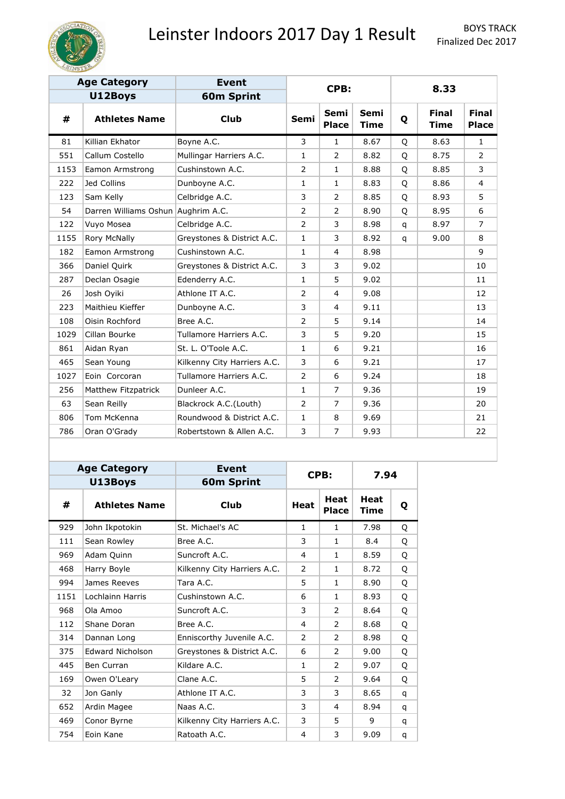

|      | <b>Age Category</b>                | <b>Event</b>                |                |                             |                     |              |                             |                              |
|------|------------------------------------|-----------------------------|----------------|-----------------------------|---------------------|--------------|-----------------------------|------------------------------|
|      | U12Boys                            | <b>60m Sprint</b>           |                | CPB:                        |                     |              | 8.33                        |                              |
| #    | <b>Athletes Name</b>               | <b>Club</b>                 | <b>Semi</b>    | <b>Semi</b><br><b>Place</b> | Semi<br><b>Time</b> | Q            | <b>Final</b><br><b>Time</b> | <b>Final</b><br><b>Place</b> |
| 81   | Killian Ekhator                    | Boyne A.C.                  | 3              | $\mathbf{1}$                | 8.67                | Q            | 8.63                        | $\mathbf{1}$                 |
| 551  | Callum Costello                    | Mullingar Harriers A.C.     | $\mathbf{1}$   | $\overline{2}$              | 8.82                | Q            | 8.75                        | $\overline{2}$               |
| 1153 | Eamon Armstrong                    | Cushinstown A.C.            | 2              | $\mathbf{1}$                | 8.88                | Q            | 8.85                        | 3                            |
| 222  | Jed Collins                        | Dunboyne A.C.               | 1              | $\mathbf{1}$                | 8.83                | Q            | 8.86                        | $\overline{4}$               |
| 123  | Sam Kelly                          | Celbridge A.C.              | 3              | $\overline{2}$              | 8.85                | Q            | 8.93                        | 5                            |
| 54   | Darren Williams Oshun Aughrim A.C. |                             | 2              | $\overline{2}$              | 8.90                | Q            | 8.95                        | 6                            |
| 122  | Vuyo Mosea                         | Celbridge A.C.              | $\overline{2}$ | 3                           | 8.98                | $\mathsf{q}$ | 8.97                        | $\overline{7}$               |
| 1155 | Rory McNally                       | Greystones & District A.C.  | 1              | 3                           | 8.92                | $\mathsf{q}$ | 9.00                        | 8                            |
| 182  | Eamon Armstrong                    | Cushinstown A.C.            | 1              | 4                           | 8.98                |              |                             | 9                            |
| 366  | Daniel Quirk                       | Greystones & District A.C.  | 3              | 3                           | 9.02                |              |                             | 10                           |
| 287  | Declan Osagie                      | Edenderry A.C.              | $\mathbf{1}$   | 5                           | 9.02                |              |                             | 11                           |
| 26   | Josh Oyiki                         | Athlone IT A.C.             | $\overline{2}$ | $\overline{4}$              | 9.08                |              |                             | 12                           |
| 223  | Maithieu Kieffer                   | Dunboyne A.C.               | 3              | 4                           | 9.11                |              |                             | 13                           |
| 108  | Oisin Rochford                     | Bree A.C.                   | $\overline{2}$ | 5                           | 9.14                |              |                             | 14                           |
| 1029 | Cillan Bourke                      | Tullamore Harriers A.C.     | 3              | 5                           | 9.20                |              |                             | 15                           |
| 861  | Aidan Ryan                         | St. L. O'Toole A.C.         | $\mathbf{1}$   | 6                           | 9.21                |              |                             | 16                           |
| 465  | Sean Young                         | Kilkenny City Harriers A.C. | 3              | 6                           | 9.21                |              |                             | 17                           |
| 1027 | Eoin Corcoran                      | Tullamore Harriers A.C.     | 2              | 6                           | 9.24                |              |                             | 18                           |
| 256  | Matthew Fitzpatrick                | Dunleer A.C.                | $\mathbf{1}$   | $\overline{7}$              | 9.36                |              |                             | 19                           |
| 63   | Sean Reilly                        | Blackrock A.C.(Louth)       | 2              | $\overline{7}$              | 9.36                |              |                             | 20                           |
| 806  | Tom McKenna                        | Roundwood & District A.C.   | 1              | 8                           | 9.69                |              |                             | 21                           |
| 786  | Oran O'Grady                       | Robertstown & Allen A.C.    | 3              | 7                           | 9.93                |              |                             | 22                           |

|      | <b>Age Category</b>     | <b>Event</b>                |                                            | CPB:           | 7.94                       |   |
|------|-------------------------|-----------------------------|--------------------------------------------|----------------|----------------------------|---|
|      | U13Boys                 | <b>60m Sprint</b>           |                                            |                |                            |   |
| #    | <b>Athletes Name</b>    | <b>Club</b>                 | <b>Heat</b><br><b>Heat</b><br><b>Place</b> |                | <b>Heat</b><br><b>Time</b> | Q |
| 929  | John Ikpotokin          | St. Michael's AC            | $\mathbf{1}$                               | $\mathbf{1}$   | 7.98                       | Q |
| 111  | Sean Rowley             | Bree A.C.                   | 3                                          | 1              | 8.4                        | Q |
| 969  | Adam Quinn              | Suncroft A.C.               | 4                                          | 1              | 8.59                       | O |
| 468  | Harry Boyle             | Kilkenny City Harriers A.C. | 2                                          | $\mathbf{1}$   | 8.72                       | Q |
| 994  | James Reeves            | Tara A.C.                   | 5                                          | 1              | 8.90                       | Q |
| 1151 | Lochlainn Harris        | Cushinstown A.C.            | 6                                          | $\mathbf{1}$   | 8.93                       | Q |
| 968  | Ola Amoo                | Suncroft A.C.               | 3                                          | 2              | 8.64                       | Q |
| 112  | Shane Doran             | Bree A.C.                   | 4                                          | 2              | 8.68                       | Q |
| 314  | Dannan Long             | Enniscorthy Juvenile A.C.   | $\mathcal{P}$                              | $\overline{2}$ | 8.98                       | O |
| 375  | <b>Edward Nicholson</b> | Greystones & District A.C.  | 6                                          | 2              | 9.00                       | O |
| 445  | <b>Ben Curran</b>       | Kildare A.C.                | 1                                          | 2              | 9.07                       | Q |
| 169  | Owen O'Leary            | Clane A.C.                  | 5                                          | $\overline{2}$ | 9.64                       | O |
| 32   | Jon Ganly               | Athlone IT A.C.             | 3                                          | 3              | 8.65                       | q |
| 652  | Ardin Magee             | Naas A.C.                   | 3                                          | 4              | 8.94                       | q |
| 469  | Conor Byrne             | Kilkenny City Harriers A.C. | 3                                          | 5              | 9                          | q |
| 754  | Eoin Kane               | Ratoath A.C.                | 4                                          | 3              | 9.09                       | q |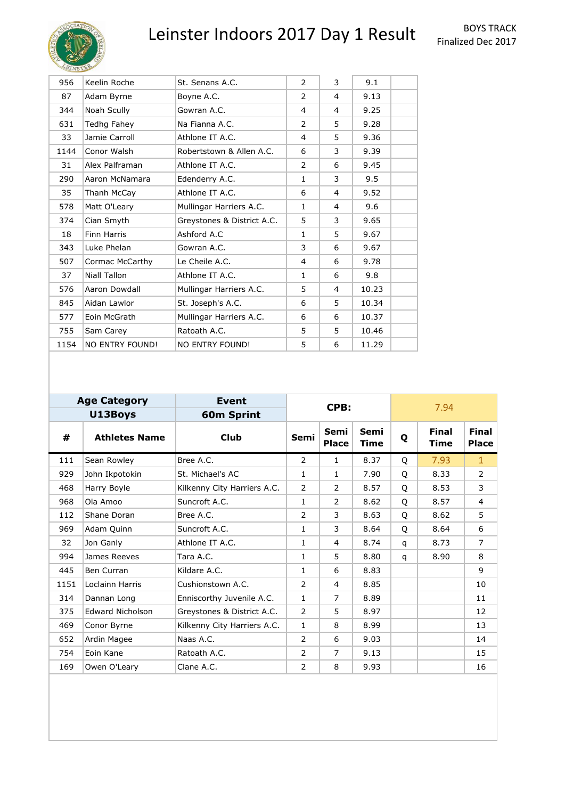

| Keelin Roche           | St. Senans A.C.            | 2            | 3              | 9.1   |  |
|------------------------|----------------------------|--------------|----------------|-------|--|
| Adam Byrne             | Boyne A.C.                 | 2            | 4              | 9.13  |  |
| Noah Scully            | Gowran A.C.                | 4            | 4              | 9.25  |  |
| Tedhg Fahey            | Na Fianna A.C.             | 2            | 5              | 9.28  |  |
| Jamie Carroll          | Athlone IT A.C.            | 4            | 5              | 9.36  |  |
| Conor Walsh            | Robertstown & Allen A.C.   | 6            | 3              | 9.39  |  |
| Alex Palframan         | Athlone IT A.C.            | 2            | 6              | 9.45  |  |
| Aaron McNamara         | Edenderry A.C.             | $\mathbf{1}$ | 3              | 9.5   |  |
| Thanh McCay            | Athlone IT A.C.            | 6            | 4              | 9.52  |  |
| Matt O'Leary           | Mullingar Harriers A.C.    | $\mathbf{1}$ | 4              | 9.6   |  |
| Cian Smyth             | Greystones & District A.C. | 5            | 3              | 9.65  |  |
| <b>Finn Harris</b>     | Ashford A.C                | 1            | 5              | 9.67  |  |
| Luke Phelan            | Gowran A.C.                | 3            | 6              | 9.67  |  |
| Cormac McCarthy        | Le Cheile A.C.             | 4            | 6              | 9.78  |  |
| Niall Tallon           | Athlone IT A.C.            | 1            | 6              | 9.8   |  |
| Aaron Dowdall          | Mullingar Harriers A.C.    | 5            | $\overline{4}$ | 10.23 |  |
| Aidan Lawlor           | St. Joseph's A.C.          | 6            | 5              | 10.34 |  |
| Eoin McGrath           | Mullingar Harriers A.C.    | 6            | 6              | 10.37 |  |
| Sam Carey              | Ratoath A.C.               | 5            | 5              | 10.46 |  |
| <b>NO ENTRY FOUND!</b> | <b>NO ENTRY FOUND!</b>     | 5            | 6              | 11.29 |  |
|                        |                            |              |                |       |  |

|      | <b>Age Category</b>     | Event                       |      | CPB:                 |                            | 7.94 |                             |                              |  |
|------|-------------------------|-----------------------------|------|----------------------|----------------------------|------|-----------------------------|------------------------------|--|
|      | U13Boys                 | <b>60m Sprint</b>           |      |                      |                            |      |                             |                              |  |
| #    | <b>Athletes Name</b>    | Club                        | Semi | Semi<br><b>Place</b> | <b>Semi</b><br><b>Time</b> | Q    | <b>Final</b><br><b>Time</b> | <b>Final</b><br><b>Place</b> |  |
| 111  | Sean Rowley             | Bree A.C.                   | 2    | $\mathbf{1}$         | 8.37                       | Q    | 7.93                        | $\mathbf{1}$                 |  |
| 929  | John Ikpotokin          | St. Michael's AC            | 1    | $\mathbf{1}$         | 7.90                       | O    | 8.33                        | $\overline{2}$               |  |
| 468  | Harry Boyle             | Kilkenny City Harriers A.C. | 2    | 2                    | 8.57                       | O    | 8.53                        | 3                            |  |
| 968  | Ola Amoo                | Suncroft A.C.               | 1    | 2                    | 8.62                       | Q    | 8.57                        | 4                            |  |
| 112  | Shane Doran             | Bree A.C.                   | 2    | 3                    | 8.63                       | O    | 8.62                        | 5                            |  |
| 969  | Adam Quinn              | Suncroft A.C.               | 1    | 3                    | 8.64                       | Q    | 8.64                        | 6                            |  |
| 32   | Jon Ganly               | Athlone IT A.C.             | 1    | 4                    | 8.74                       | q    | 8.73                        | $\overline{7}$               |  |
| 994  | James Reeves            | Tara A.C.                   | 1    | 5                    | 8.80                       | q    | 8.90                        | 8                            |  |
| 445  | <b>Ben Curran</b>       | Kildare A.C.                | 1    | 6                    | 8.83                       |      |                             | 9                            |  |
| 1151 | Loclainn Harris         | Cushionstown A.C.           | 2    | 4                    | 8.85                       |      |                             | 10                           |  |
| 314  | Dannan Long             | Enniscorthy Juvenile A.C.   | 1    | $\overline{7}$       | 8.89                       |      |                             | 11                           |  |
| 375  | <b>Edward Nicholson</b> | Greystones & District A.C.  | 2    | 5                    | 8.97                       |      |                             | 12                           |  |
| 469  | Conor Byrne             | Kilkenny City Harriers A.C. | 1    | 8                    | 8.99                       |      |                             | 13                           |  |
| 652  | Ardin Magee             | Naas A.C.                   | 2    | 6                    | 9.03                       |      |                             | 14                           |  |
| 754  | Eoin Kane               | Ratoath A.C.                | 2    | 7                    | 9.13                       |      |                             | 15                           |  |
| 169  | Owen O'Leary            | Clane A.C.                  | 2    | 8                    | 9.93                       |      |                             | 16                           |  |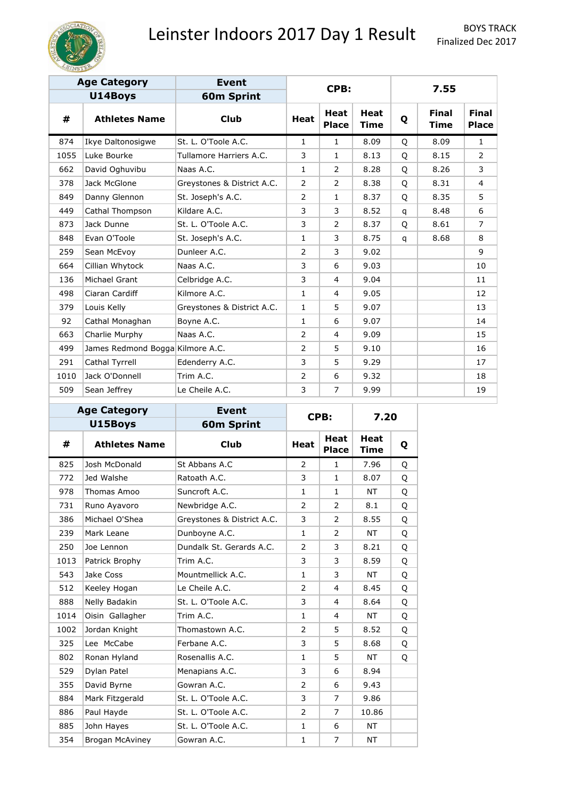

|      | <b>Age Category</b>              | <b>Event</b>               |                |                             |                            |              |                             |                              |
|------|----------------------------------|----------------------------|----------------|-----------------------------|----------------------------|--------------|-----------------------------|------------------------------|
|      | U14Boys                          | 60m Sprint                 |                | CPB:                        |                            |              | 7.55                        |                              |
| #    | <b>Athletes Name</b>             | <b>Club</b>                | <b>Heat</b>    | <b>Heat</b><br><b>Place</b> | <b>Heat</b><br><b>Time</b> | Q            | <b>Final</b><br><b>Time</b> | <b>Final</b><br><b>Place</b> |
| 874  | Ikye Daltonosigwe                | St. L. O'Toole A.C.        | $\mathbf{1}$   | $\mathbf{1}$                | 8.09                       | Q            | 8.09                        | $\mathbf{1}$                 |
| 1055 | Luke Bourke                      | Tullamore Harriers A.C.    | 3              | $\mathbf{1}$                | 8.13                       | Q            | 8.15                        | $\overline{2}$               |
| 662  | David Oghuvibu                   | Naas A.C.                  | 1              | $\overline{2}$              | 8.28                       | Q            | 8.26                        | 3                            |
| 378  | Jack McGlone                     | Greystones & District A.C. | 2              | $\overline{2}$              | 8.38                       | Q            | 8.31                        | $\overline{4}$               |
| 849  | Danny Glennon                    | St. Joseph's A.C.          | 2              | 1                           | 8.37                       | Q            | 8.35                        | 5                            |
| 449  | Cathal Thompson                  | Kildare A.C.               | 3              | 3                           | 8.52                       | $\mathsf{q}$ | 8.48                        | 6                            |
| 873  | Jack Dunne                       | St. L. O'Toole A.C.        | 3              | $\overline{2}$              | 8.37                       | Q            | 8.61                        | $\overline{7}$               |
| 848  | Evan O'Toole                     | St. Joseph's A.C.          | 1              | 3                           | 8.75                       | q            | 8.68                        | 8                            |
| 259  | Sean McEvoy                      | Dunleer A.C.               | 2              | 3                           | 9.02                       |              |                             | 9                            |
| 664  | Cillian Whytock                  | Naas A.C.                  | 3              | 6                           | 9.03                       |              |                             | 10                           |
| 136  | Michael Grant                    | Celbridge A.C.             | 3              | $\overline{4}$              | 9.04                       |              |                             | 11                           |
| 498  | Ciaran Cardiff                   | Kilmore A.C.               | $\mathbf{1}$   | 4                           | 9.05                       |              |                             | 12                           |
| 379  | Louis Kelly                      | Greystones & District A.C. | $\mathbf{1}$   | 5                           | 9.07                       |              |                             | 13                           |
| 92   | Cathal Monaghan                  | Boyne A.C.                 | $\mathbf{1}$   | 6                           | 9.07                       |              |                             | 14                           |
| 663  | Charlie Murphy                   | Naas A.C.                  | 2              | 4                           | 9.09                       |              |                             | 15                           |
| 499  | James Redmond Bogga Kilmore A.C. |                            | $\overline{2}$ | 5                           | 9.10                       |              |                             | 16                           |
| 291  | Cathal Tyrrell                   | Edenderry A.C.             | 3              | 5                           | 9.29                       |              |                             | 17                           |
| 1010 | Jack O'Donnell                   | Trim A.C.                  | 2              | 6                           | 9.32                       |              |                             | 18                           |
| 509  | Sean Jeffrey                     | Le Cheile A.C.             | 3              | $\overline{7}$              | 9.99                       |              |                             | 19                           |

|      | <b>Age Category</b>    | <b>Event</b>               |              | CPB:                 | 7.20                       |   |
|------|------------------------|----------------------------|--------------|----------------------|----------------------------|---|
|      | U15Boys                | <b>60m Sprint</b>          |              |                      |                            |   |
| #    | <b>Athletes Name</b>   | <b>Club</b>                | <b>Heat</b>  | Heat<br><b>Place</b> | <b>Heat</b><br><b>Time</b> | Q |
| 825  | Josh McDonald          | St Abbans A.C.             | 2            | $\mathbf{1}$         | 7.96                       | Q |
| 772  | Jed Walshe             | Ratoath A.C.               | 3            | $\mathbf{1}$         | 8.07                       | Q |
| 978  | Thomas Amoo            | Suncroft A.C.              | $\mathbf{1}$ | 1                    | <b>NT</b>                  | Q |
| 731  | Runo Ayavoro           | Newbridge A.C.             | 2            | 2                    | 8.1                        | Q |
| 386  | Michael O'Shea         | Greystones & District A.C. | 3            | 2                    | 8.55                       | Q |
| 239  | Mark Leane             | Dunboyne A.C.              | $\mathbf{1}$ | $\overline{2}$       | <b>NT</b>                  | Q |
| 250  | Joe Lennon             | Dundalk St. Gerards A.C.   | 2            | 3                    | 8.21                       | Q |
| 1013 | Patrick Brophy         | Trim A.C.                  | 3            | 3                    | 8.59                       | Q |
| 543  | Jake Coss              | Mountmellick A.C.          | $\mathbf{1}$ | 3                    | <b>NT</b>                  | Q |
| 512  | Keeley Hogan           | Le Cheile A.C.             | 2            | 4                    | 8.45                       | Q |
| 888  | Nelly Badakin          | St. L. O'Toole A.C.        | 3            | 4                    | 8.64                       | Q |
| 1014 | Oisin Gallagher        | Trim A.C.                  | $\mathbf{1}$ | 4                    | NT                         | Q |
| 1002 | Jordan Knight          | Thomastown A.C.            | 2            | 5                    | 8.52                       | Q |
| 325  | Lee McCabe             | Ferbane A.C.               | 3            | 5                    | 8.68                       | Q |
| 802  | Ronan Hyland           | Rosenallis A.C.            | $\mathbf{1}$ | 5                    | NT                         | Q |
| 529  | Dylan Patel            | Menapians A.C.             | 3            | 6                    | 8.94                       |   |
| 355  | David Byrne            | Gowran A.C.                | 2            | 6                    | 9.43                       |   |
| 884  | Mark Fitzgerald        | St. L. O'Toole A.C.        | 3            | 7                    | 9.86                       |   |
| 886  | Paul Hayde             | St. L. O'Toole A.C.        | 2            | 7                    | 10.86                      |   |
| 885  | John Hayes             | St. L. O'Toole A.C.        | $\mathbf{1}$ | 6                    | NT                         |   |
| 354  | <b>Brogan McAviney</b> | Gowran A.C.                | $\mathbf{1}$ | 7                    | <b>NT</b>                  |   |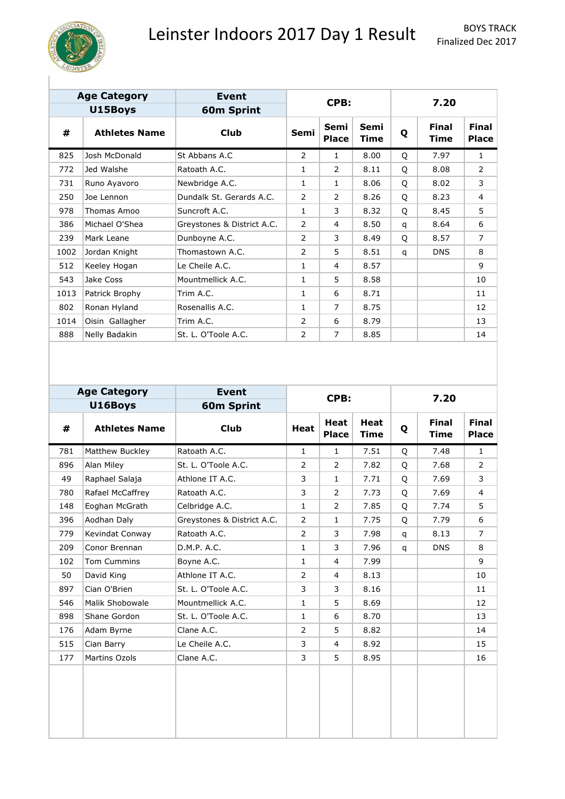

| <b>Age Category</b> |                      | Event                      |                |                      |              |   |                             |                              |  |  |
|---------------------|----------------------|----------------------------|----------------|----------------------|--------------|---|-----------------------------|------------------------------|--|--|
|                     | U15Boys              | <b>60m Sprint</b>          |                | CPB:                 |              |   | 7.20                        |                              |  |  |
| #                   | <b>Athletes Name</b> | <b>Club</b>                | Semi           | Semi<br><b>Place</b> | Semi<br>Time | Q | <b>Final</b><br><b>Time</b> | <b>Final</b><br><b>Place</b> |  |  |
| 825                 | Josh McDonald        | St Abbans A.C              | 2              | $\mathbf{1}$         | 8.00         | O | 7.97                        | $\mathbf{1}$                 |  |  |
| 772                 | Jed Walshe           | Ratoath A.C.               | 1              | 2                    | 8.11         | O | 8.08                        | 2                            |  |  |
| 731                 | Runo Ayavoro         | Newbridge A.C.             | 1              | $\mathbf{1}$         | 8.06         | O | 8.02                        | 3                            |  |  |
| 250                 | Joe Lennon           | Dundalk St. Gerards A.C.   | 2              | 2                    | 8.26         | Q | 8.23                        | 4                            |  |  |
| 978                 | Thomas Amoo          | Suncroft A.C.              | 1              | 3                    | 8.32         | O | 8.45                        | 5                            |  |  |
| 386                 | Michael O'Shea       | Greystones & District A.C. | 2              | $\overline{4}$       | 8.50         | q | 8.64                        | 6                            |  |  |
| 239                 | Mark Leane           | Dunboyne A.C.              | 2              | 3                    | 8.49         | O | 8.57                        | $\overline{7}$               |  |  |
| 1002                | Jordan Knight        | Thomastown A.C.            | $\overline{2}$ | 5                    | 8.51         | q | <b>DNS</b>                  | 8                            |  |  |
| 512                 | Keeley Hogan         | Le Cheile A.C.             | 1              | 4                    | 8.57         |   |                             | 9                            |  |  |
| 543                 | Jake Coss            | Mountmellick A.C.          | 1              | 5                    | 8.58         |   |                             | 10                           |  |  |
| 1013                | Patrick Brophy       | Trim A.C.                  | 1              | 6                    | 8.71         |   |                             | 11                           |  |  |
| 802                 | Ronan Hyland         | Rosenallis A.C.            | 1              | $\overline{7}$       | 8.75         |   |                             | 12                           |  |  |
| 1014                | Oisin Gallagher      | Trim A.C.                  | 2              | 6                    | 8.79         |   |                             | 13                           |  |  |
| 888                 | Nelly Badakin        | St. L. O'Toole A.C.        | 2              | $\overline{7}$       | 8.85         |   |                             | 14                           |  |  |

|     | <b>Age Category</b>  | <b>Event</b>               |                | CPB:                 |                            |   | 7.20                        |                              |
|-----|----------------------|----------------------------|----------------|----------------------|----------------------------|---|-----------------------------|------------------------------|
|     | U16Boys              | <b>60m Sprint</b>          |                |                      |                            |   |                             |                              |
| #   | <b>Athletes Name</b> | <b>Club</b>                | Heat           | Heat<br><b>Place</b> | <b>Heat</b><br><b>Time</b> | Q | <b>Final</b><br><b>Time</b> | <b>Final</b><br><b>Place</b> |
| 781 | Matthew Buckley      | Ratoath A.C.               | 1              | $\mathbf{1}$         | 7.51                       | Q | 7.48                        | $\mathbf{1}$                 |
| 896 | Alan Miley           | St. L. O'Toole A.C.        | $\overline{2}$ | $\overline{2}$       | 7.82                       | Q | 7.68                        | $\overline{2}$               |
| 49  | Raphael Salaja       | Athlone IT A.C.            | 3              | $\mathbf{1}$         | 7.71                       | Q | 7.69                        | 3                            |
| 780 | Rafael McCaffrey     | Ratoath A.C.               | 3              | $\overline{2}$       | 7.73                       | Q | 7.69                        | $\overline{4}$               |
| 148 | Eoghan McGrath       | Celbridge A.C.             | 1              | $\overline{2}$       | 7.85                       | Q | 7.74                        | 5                            |
| 396 | Aodhan Daly          | Greystones & District A.C. | $\overline{2}$ | $\mathbf{1}$         | 7.75                       | Q | 7.79                        | 6                            |
| 779 | Kevindat Conway      | Ratoath A.C.               | $\overline{2}$ | 3                    | 7.98                       | q | 8.13                        | $\overline{7}$               |
| 209 | Conor Brennan        | D.M.P. A.C.                | 1              | 3                    | 7.96                       | q | <b>DNS</b>                  | 8                            |
| 102 | Tom Cummins          | Boyne A.C.                 | 1              | 4                    | 7.99                       |   |                             | 9                            |
| 50  | David King           | Athlone IT A.C.            | 2              | 4                    | 8.13                       |   |                             | 10                           |
| 897 | Cian O'Brien         | St. L. O'Toole A.C.        | 3              | 3                    | 8.16                       |   |                             | 11                           |
| 546 | Malik Shobowale      | Mountmellick A.C.          | 1              | 5                    | 8.69                       |   |                             | 12                           |
| 898 | Shane Gordon         | St. L. O'Toole A.C.        | 1              | 6                    | 8.70                       |   |                             | 13                           |
| 176 | Adam Byrne           | Clane A.C.                 | $\overline{2}$ | 5                    | 8.82                       |   |                             | 14                           |
| 515 | Cian Barry           | Le Cheile A.C.             | 3              | 4                    | 8.92                       |   |                             | 15                           |
| 177 | Martins Ozols        | Clane A.C.                 | 3              | 5                    | 8.95                       |   |                             | 16                           |
|     |                      |                            |                |                      |                            |   |                             |                              |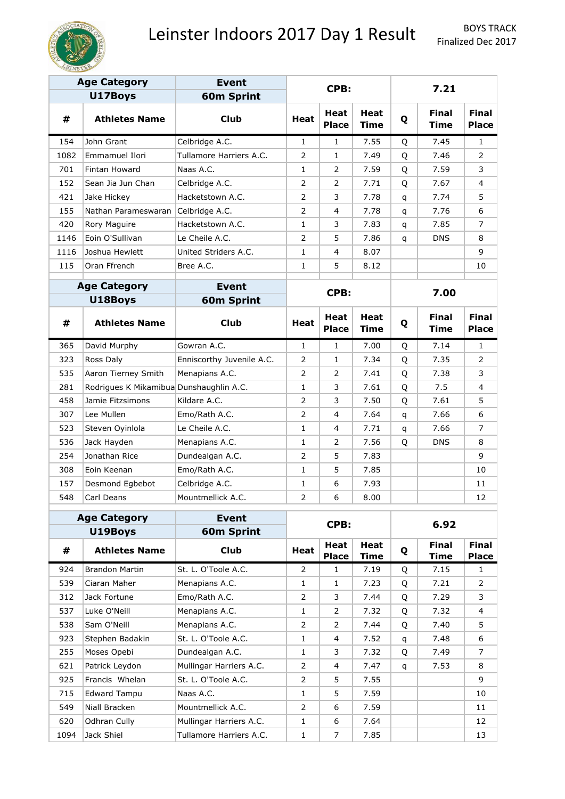

Finalized Dec 2017

| <b>Age Category</b> |                                         | <b>Event</b>              |                |                             |                     |   |                             |                              |
|---------------------|-----------------------------------------|---------------------------|----------------|-----------------------------|---------------------|---|-----------------------------|------------------------------|
|                     | U17Boys                                 | <b>60m Sprint</b>         |                | CPB:                        |                     |   | 7.21                        |                              |
| #                   | <b>Athletes Name</b>                    | <b>Club</b>               | <b>Heat</b>    | Heat<br><b>Place</b>        | Heat<br><b>Time</b> | Q | <b>Final</b><br><b>Time</b> | <b>Final</b><br><b>Place</b> |
| 154                 | John Grant                              | Celbridge A.C.            | $\mathbf{1}$   | $\mathbf{1}$                | 7.55                | Q | 7.45                        | 1                            |
| 1082                | Emmamuel Ilori                          | Tullamore Harriers A.C.   | 2              | 1                           | 7.49                | Q | 7.46                        | 2                            |
| 701                 | Fintan Howard                           | Naas A.C.                 | $\mathbf{1}$   | 2                           | 7.59                | Q | 7.59                        | 3                            |
| 152                 | Sean Jia Jun Chan                       | Celbridge A.C.            | 2              | 2                           | 7.71                | Q | 7.67                        | 4                            |
| 421                 | Jake Hickey                             | Hacketstown A.C.          | 2              | 3                           | 7.78                | q | 7.74                        | 5                            |
| 155                 | Nathan Parameswaran                     | Celbridge A.C.            | $\overline{2}$ | 4                           | 7.78                | q | 7.76                        | 6                            |
| 420                 | Rory Maguire                            | Hacketstown A.C.          | $\mathbf{1}$   | 3                           | 7.83                | q | 7.85                        | 7                            |
| 1146                | Eoin O'Sullivan                         | Le Cheile A.C.            | $\overline{2}$ | 5                           | 7.86                | q | <b>DNS</b>                  | 8                            |
| 1116                | Joshua Hewlett                          | United Striders A.C.      | 1              | 4                           | 8.07                |   |                             | 9                            |
| 115                 | Oran Ffrench                            | Bree A.C.                 | 1              | 5                           | 8.12                |   |                             | 10                           |
|                     | <b>Age Category</b>                     | <b>Event</b>              |                | CPB:                        |                     |   | 7.00                        |                              |
|                     | U18Boys                                 | <b>60m Sprint</b>         |                |                             |                     |   |                             |                              |
| #                   | <b>Athletes Name</b>                    | <b>Club</b>               | <b>Heat</b>    | Heat<br><b>Place</b>        | Heat<br>Time        | Q | <b>Final</b><br>Time        | <b>Final</b><br><b>Place</b> |
| 365                 | David Murphy                            | Gowran A.C.               | 1              | $\mathbf{1}$                | 7.00                | Q | 7.14                        | $\mathbf{1}$                 |
| 323                 | Ross Daly                               | Enniscorthy Juvenile A.C. | 2              | $\mathbf{1}$                | 7.34                | Q | 7.35                        | 2                            |
| 535                 | Aaron Tierney Smith                     | Menapians A.C.            | 2              | $\overline{2}$              | 7.41                | Q | 7.38                        | 3                            |
| 281                 | Rodrigues K Mikamibua Dunshaughlin A.C. |                           | 1              | 3                           | 7.61                | Q | 7.5                         | 4                            |
| 458                 | Jamie Fitzsimons                        | Kildare A.C.              | 2              | 3                           | 7.50                | Q | 7.61                        | 5                            |
| 307                 | Lee Mullen                              | Emo/Rath A.C.             | 2              | 4                           | 7.64                | q | 7.66                        | 6                            |
| 523                 | Steven Oyinlola                         | Le Cheile A.C.            | 1              | 4                           | 7.71                | q | 7.66                        | 7                            |
| 536                 | Jack Hayden                             | Menapians A.C.            | 1              | 2                           | 7.56                | Q | <b>DNS</b>                  | 8                            |
| 254                 | Jonathan Rice                           | Dundealgan A.C.           | 2              | 5                           | 7.83                |   |                             | 9                            |
| 308                 | Eoin Keenan                             | Emo/Rath A.C.             | 1              | 5                           | 7.85                |   |                             | 10                           |
| 157                 | Desmond Egbebot                         | Celbridge A.C.            | 1              | 6                           | 7.93                |   |                             | 11                           |
| 548                 | Carl Deans                              | Mountmellick A.C.         | 2              | 6                           | 8.00                |   |                             | 12                           |
|                     | <b>Age Category</b>                     | <b>Event</b>              |                |                             |                     |   |                             |                              |
|                     | U19Boys                                 | <b>60m Sprint</b>         |                | CPB:                        |                     |   | 6.92                        |                              |
| #                   | <b>Athletes Name</b>                    | <b>Club</b>               | Heat           | <b>Heat</b><br><b>Place</b> | Heat<br><b>Time</b> | Q | <b>Final</b><br><b>Time</b> | <b>Final</b><br><b>Place</b> |
| 924                 | <b>Brandon Martin</b>                   | St. L. O'Toole A.C.       | $\overline{2}$ | $\mathbf{1}$                | 7.19                | Q | 7.15                        | $\mathbf{1}$                 |
| 539                 | Ciaran Maher                            | Menapians A.C.            | 1              | $\mathbf{1}$                | 7.23                | Q | 7.21                        | $\overline{2}$               |
| 312                 | Jack Fortune                            | Emo/Rath A.C.             | 2              | 3                           | 7.44                | Q | 7.29                        | 3                            |
| 537                 | Luke O'Neill                            | Menapians A.C.            | 1              | $\overline{2}$              | 7.32                | Q | 7.32                        | 4                            |
| 538                 | Sam O'Neill                             | Menapians A.C.            | 2              | 2                           | 7.44                | Q | 7.40                        | 5                            |
| 923                 | Stephen Badakin                         | St. L. O'Toole A.C.       | $\mathbf{1}$   | 4                           | 7.52                | q | 7.48                        | 6                            |
| 255                 | Moses Opebi                             | Dundealgan A.C.           | 1              | 3                           | 7.32                | Q | 7.49                        | 7                            |
| 621                 | Patrick Leydon                          | Mullingar Harriers A.C.   | 2              | 4                           | 7.47                | q | 7.53                        | 8                            |
| 925                 | Francis Whelan                          | St. L. O'Toole A.C.       | 2              | 5                           | 7.55                |   |                             | 9                            |
| 715                 | <b>Edward Tampu</b>                     | Naas A.C.                 | 1              | 5                           | 7.59                |   |                             | 10                           |
| 549                 | Niall Bracken                           | Mountmellick A.C.         | 2              | 6                           | 7.59                |   |                             | 11                           |
| 620                 | Odhran Cully                            | Mullingar Harriers A.C.   | 1              | 6                           | 7.64                |   |                             | 12                           |
| 1094                | Jack Shiel                              | Tullamore Harriers A.C.   | $\mathbf{1}$   | 7                           | 7.85                |   |                             | 13                           |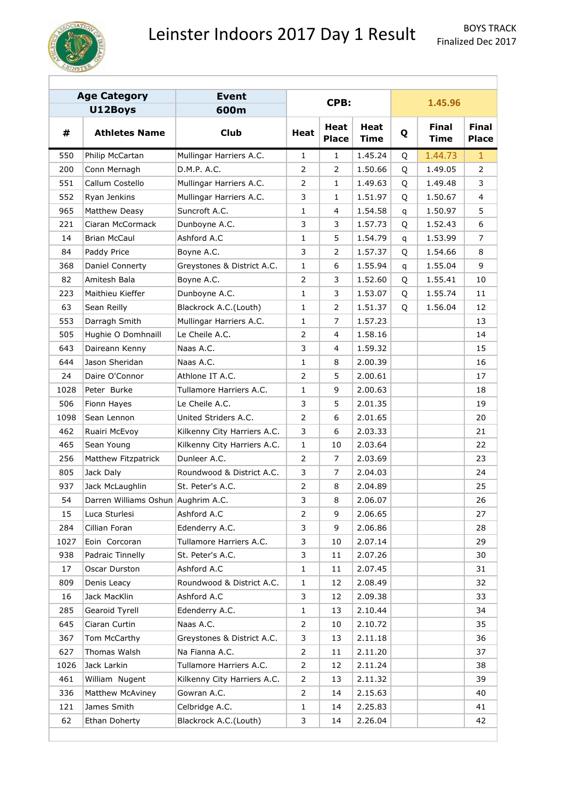

|      | <b>Age Category</b>                | <b>Event</b>                |                | CPB:                        |                            |   | 1.45.96                     |                              |
|------|------------------------------------|-----------------------------|----------------|-----------------------------|----------------------------|---|-----------------------------|------------------------------|
|      | U12Boys                            | 600m                        |                |                             |                            |   |                             |                              |
| #    | <b>Athletes Name</b>               | <b>Club</b>                 | <b>Heat</b>    | <b>Heat</b><br><b>Place</b> | <b>Heat</b><br><b>Time</b> | Q | <b>Final</b><br><b>Time</b> | <b>Final</b><br><b>Place</b> |
| 550  | Philip McCartan                    | Mullingar Harriers A.C.     | $\mathbf{1}$   | $\mathbf{1}$                | 1.45.24                    | Q | 1.44.73                     | $\mathbf{1}$                 |
| 200  | Conn Mernagh                       | D.M.P. A.C.                 | 2              | 2                           | 1.50.66                    | Q | 1.49.05                     | $\overline{2}$               |
| 551  | Callum Costello                    | Mullingar Harriers A.C.     | $\overline{2}$ | $\mathbf{1}$                | 1.49.63                    | Q | 1.49.48                     | 3                            |
| 552  | Ryan Jenkins                       | Mullingar Harriers A.C.     | 3              | $\mathbf{1}$                | 1.51.97                    | Q | 1.50.67                     | 4                            |
| 965  | Matthew Deasy                      | Suncroft A.C.               | 1              | 4                           | 1.54.58                    | q | 1.50.97                     | 5                            |
| 221  | Ciaran McCormack                   | Dunboyne A.C.               | 3              | 3                           | 1.57.73                    | Q | 1.52.43                     | 6                            |
| 14   | <b>Brian McCaul</b>                | Ashford A.C                 | 1              | 5                           | 1.54.79                    | q | 1.53.99                     | 7                            |
| 84   | Paddy Price                        | Boyne A.C.                  | 3              | 2                           | 1.57.37                    | Q | 1.54.66                     | 8                            |
| 368  | Daniel Connerty                    | Greystones & District A.C.  | $\mathbf{1}$   | 6                           | 1.55.94                    | q | 1.55.04                     | 9                            |
| 82   | Amitesh Bala                       | Boyne A.C.                  | $\overline{2}$ | 3                           | 1.52.60                    | Q | 1.55.41                     | 10                           |
| 223  | Maithieu Kieffer                   | Dunboyne A.C.               | $\mathbf{1}$   | 3                           | 1.53.07                    | Q | 1.55.74                     | 11                           |
| 63   | Sean Reilly                        | Blackrock A.C.(Louth)       | 1              | 2                           | 1.51.37                    | Q | 1.56.04                     | 12                           |
| 553  | Darragh Smith                      | Mullingar Harriers A.C.     | 1              | 7                           | 1.57.23                    |   |                             | 13                           |
| 505  | Hughie O Domhnaill                 | Le Cheile A.C.              | 2              | 4                           | 1.58.16                    |   |                             | 14                           |
| 643  | Daireann Kenny                     | Naas A.C.                   | 3              | 4                           | 1.59.32                    |   |                             | 15                           |
| 644  | Jason Sheridan                     | Naas A.C.                   | $\mathbf{1}$   | 8                           | 2.00.39                    |   |                             | 16                           |
| 24   | Daire O'Connor                     | Athlone IT A.C.             | 2              | 5                           | 2.00.61                    |   |                             | 17                           |
| 1028 | Peter Burke                        | Tullamore Harriers A.C.     | $\mathbf{1}$   | 9                           | 2.00.63                    |   |                             | 18                           |
| 506  | Fionn Hayes                        | Le Cheile A.C.              | 3              | 5                           | 2.01.35                    |   |                             | 19                           |
| 1098 | Sean Lennon                        | United Striders A.C.        | 2              | 6                           | 2.01.65                    |   |                             | 20                           |
| 462  | Ruairi McEvoy                      | Kilkenny City Harriers A.C. | 3              | 6                           | 2.03.33                    |   |                             | 21                           |
| 465  | Sean Young                         | Kilkenny City Harriers A.C. | $\mathbf{1}$   | 10                          | 2.03.64                    |   |                             | 22                           |
| 256  | Matthew Fitzpatrick                | Dunleer A.C.                | 2              | 7                           | 2.03.69                    |   |                             | 23                           |
| 805  | Jack Daly                          | Roundwood & District A.C.   | 3              | 7                           | 2.04.03                    |   |                             | 24                           |
| 937  | Jack McLaughlin                    | St. Peter's A.C.            | 2              | 8                           | 2.04.89                    |   |                             | 25                           |
| 54   | Darren Williams Oshun Aughrim A.C. |                             | 3              | 8                           | 2.06.07                    |   |                             | 26                           |
| 15   | Luca Sturlesi                      | Ashford A.C                 | 2              | 9                           | 2.06.65                    |   |                             | 27                           |
| 284  | Cillian Foran                      | Edenderry A.C.              | 3              | 9                           | 2.06.86                    |   |                             | 28                           |
| 1027 | Eoin Corcoran                      | Tullamore Harriers A.C.     | 3              | 10                          | 2.07.14                    |   |                             | 29                           |
| 938  | Padraic Tinnelly                   | St. Peter's A.C.            | 3              | 11                          | 2.07.26                    |   |                             | 30                           |
| 17   | Oscar Durston                      | Ashford A.C                 | 1              | 11                          | 2.07.45                    |   |                             | 31                           |
| 809  | Denis Leacy                        | Roundwood & District A.C.   | 1              | 12                          | 2.08.49                    |   |                             | 32                           |
| 16   | Jack MacKlin                       | Ashford A.C                 | 3              | 12                          | 2.09.38                    |   |                             | 33                           |
| 285  | Gearoid Tyrell                     | Edenderry A.C.              | $\mathbf{1}$   | 13                          | 2.10.44                    |   |                             | 34                           |
| 645  | Ciaran Curtin                      | Naas A.C.                   | 2              | 10                          | 2.10.72                    |   |                             | 35                           |
| 367  | Tom McCarthy                       | Greystones & District A.C.  | 3              | 13                          | 2.11.18                    |   |                             | 36                           |
| 627  | Thomas Walsh                       | Na Fianna A.C.              | 2              | 11                          | 2.11.20                    |   |                             | 37                           |
| 1026 | Jack Larkin                        | Tullamore Harriers A.C.     | 2              | 12                          | 2.11.24                    |   |                             | 38                           |
| 461  | William Nugent                     | Kilkenny City Harriers A.C. | 2              | 13                          | 2.11.32                    |   |                             | 39                           |
| 336  | Matthew McAviney                   | Gowran A.C.                 | 2              | 14                          | 2.15.63                    |   |                             | 40                           |
| 121  | James Smith                        | Celbridge A.C.              | $\mathbf{1}$   | 14                          | 2.25.83                    |   |                             | 41                           |
| 62   | Ethan Doherty                      | Blackrock A.C.(Louth)       | 3              | 14                          | 2.26.04                    |   |                             | 42                           |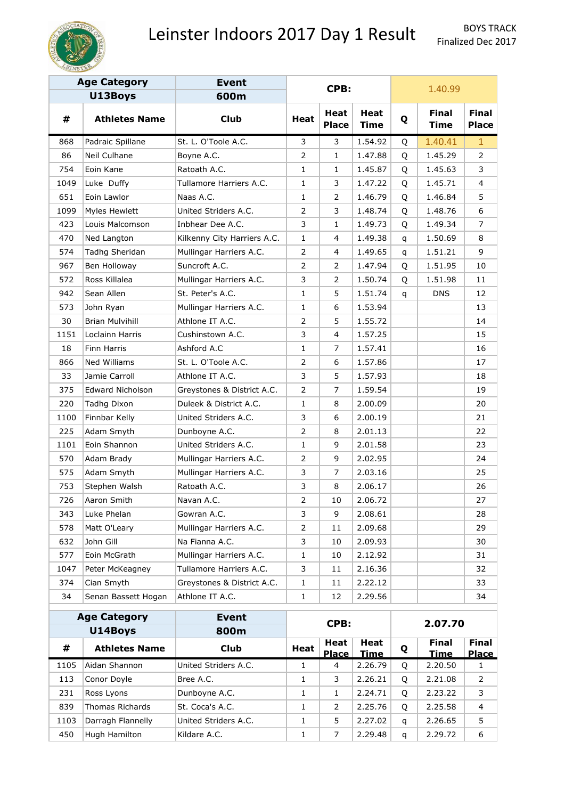

|      | <b>Age Category</b>     | <b>Event</b>                |                |                             |                            |         |                             |                              |
|------|-------------------------|-----------------------------|----------------|-----------------------------|----------------------------|---------|-----------------------------|------------------------------|
|      | U13Boys                 | 600m                        |                | CPB:                        |                            |         | 1.40.99                     |                              |
| #    | <b>Athletes Name</b>    | <b>Club</b>                 | Heat           | <b>Heat</b><br><b>Place</b> | <b>Heat</b><br><b>Time</b> | Q       | <b>Final</b><br><b>Time</b> | <b>Final</b><br><b>Place</b> |
| 868  | Padraic Spillane        | St. L. O'Toole A.C.         | 3              | 3                           | 1.54.92                    | Q       | 1.40.41                     | $\mathbf{1}$                 |
| 86   | Neil Culhane            | Boyne A.C.                  | $\overline{2}$ | 1                           | 1.47.88                    | Q       | 1.45.29                     | $\mathbf{2}^{\prime}$        |
| 754  | Eoin Kane               | Ratoath A.C.                | 1              | $\mathbf{1}$                | 1.45.87                    | Q       | 1.45.63                     | 3                            |
| 1049 | Luke Duffy              | Tullamore Harriers A.C.     | $\mathbf{1}$   | 3                           | 1.47.22                    | Q       | 1.45.71                     | 4                            |
| 651  | Eoin Lawlor             | Naas A.C.                   | 1              | 2                           | 1.46.79                    | Q       | 1.46.84                     | 5                            |
| 1099 | Myles Hewlett           | United Striders A.C.        | 2              | 3                           | 1.48.74                    | Q       | 1.48.76                     | 6                            |
| 423  | Louis Malcomson         | Inbhear Dee A.C.            | 3              | 1                           | 1.49.73                    | Q       | 1.49.34                     | 7                            |
| 470  | Ned Langton             | Kilkenny City Harriers A.C. | $\mathbf{1}$   | 4                           | 1.49.38                    | q       | 1.50.69                     | 8                            |
| 574  | Tadhg Sheridan          | Mullingar Harriers A.C.     | 2              | 4                           | 1.49.65                    | q       | 1.51.21                     | 9                            |
| 967  | Ben Holloway            | Suncroft A.C.               | 2              | 2                           | 1.47.94                    | Q       | 1.51.95                     | 10                           |
| 572  | Ross Killalea           | Mullingar Harriers A.C.     | 3              | $\overline{2}$              | 1.50.74                    | Q       | 1.51.98                     | 11                           |
| 942  | Sean Allen              | St. Peter's A.C.            | 1              | 5                           | 1.51.74                    | q       | <b>DNS</b>                  | 12                           |
| 573  | John Ryan               | Mullingar Harriers A.C.     | 1              | 6                           | 1.53.94                    |         |                             | 13                           |
| 30   | <b>Brian Mulvihill</b>  | Athlone IT A.C.             | 2              | 5                           | 1.55.72                    |         |                             | 14                           |
| 1151 | Loclainn Harris         | Cushinstown A.C.            | 3              | 4                           | 1.57.25                    |         |                             | 15                           |
| 18   | Finn Harris             | Ashford A.C                 | $\mathbf{1}$   | $\overline{7}$              | 1.57.41                    |         |                             | 16                           |
| 866  | Ned Williams            | St. L. O'Toole A.C.         | 2              | 6                           | 1.57.86                    |         |                             | 17                           |
| 33   | Jamie Carroll           | Athlone IT A.C.             | 3              | 5                           | 1.57.93                    |         |                             | 18                           |
| 375  | <b>Edward Nicholson</b> | Greystones & District A.C.  | 2              | 7                           | 1.59.54                    |         |                             | 19                           |
| 220  | Tadhg Dixon             | Duleek & District A.C.      | $\mathbf{1}$   | 8                           | 2.00.09                    |         |                             | 20                           |
| 1100 | Finnbar Kelly           | United Striders A.C.        | 3              | 6                           | 2.00.19                    |         |                             | 21                           |
| 225  | Adam Smyth              | Dunboyne A.C.               | 2              | 8                           | 2.01.13                    |         |                             | 22                           |
| 1101 | Eoin Shannon            | United Striders A.C.        | 1              | 9                           | 2.01.58                    |         |                             | 23                           |
| 570  | Adam Brady              | Mullingar Harriers A.C.     | 2              | 9                           | 2.02.95                    |         |                             | 24                           |
| 575  | Adam Smyth              | Mullingar Harriers A.C.     | 3              | $\overline{7}$              | 2.03.16                    |         |                             | 25                           |
| 753  | Stephen Walsh           | Ratoath A.C.                | 3              | 8                           | 2.06.17                    |         |                             | 26                           |
| 726  | Aaron Smith             | Navan A.C.                  | $\overline{2}$ | 10                          | 2.06.72                    |         |                             | 27                           |
| 343  | Luke Phelan             | Gowran A.C.                 | 3              | 9                           | 2.08.61                    |         |                             | 28                           |
| 578  | Matt O'Leary            | Mullingar Harriers A.C.     | $\overline{2}$ | 11                          | 2.09.68                    |         |                             | 29                           |
| 632  | John Gill               | Na Fianna A.C.              | 3              | 10                          | 2.09.93                    |         |                             | 30                           |
| 577  | Eoin McGrath            | Mullingar Harriers A.C.     | 1              | 10                          | 2.12.92                    |         |                             | 31                           |
| 1047 | Peter McKeagney         | Tullamore Harriers A.C.     | 3              | 11                          | 2.16.36                    |         |                             | 32                           |
| 374  | Cian Smyth              | Greystones & District A.C.  | 1              | 11                          | 2.22.12                    |         |                             | 33                           |
| 34   | Senan Bassett Hogan     | Athlone IT A.C.             | 1              | 12                          | 2.29.56                    |         |                             | 34                           |
|      | <b>Age Category</b>     | <b>Event</b>                |                |                             |                            |         |                             |                              |
|      | U14Boys                 | 800m                        |                | CPB:                        |                            | 2.07.70 |                             |                              |
| #    | <b>Athletes Name</b>    | <b>Club</b>                 | Heat           | Heat<br><b>Diace</b>        | Heat<br>Time               | Q       | <b>Final</b><br>Time        | Final<br>Diace.              |

|      | --------             | -----                |             |                      |              |   |                             |                              |
|------|----------------------|----------------------|-------------|----------------------|--------------|---|-----------------------------|------------------------------|
| #    | <b>Athletes Name</b> | Club                 | <b>Heat</b> | Heat<br><b>Place</b> | Heat<br>Time | Q | <b>Final</b><br><b>Time</b> | <b>Final</b><br><b>Place</b> |
| 1105 | Aidan Shannon        | United Striders A.C. |             | $\overline{4}$       | 2.26.79      | Q | 2.20.50                     |                              |
| 113  | Conor Doyle          | Bree A.C.            | ┻           | 3                    | 2.26.21      | O | 2.21.08                     | 2                            |
| 231  | Ross Lyons           | Dunboyne A.C.        | 1           |                      | 2.24.71      | O | 2.23.22                     | 3                            |
| 839  | Thomas Richards      | St. Coca's A.C.      |             | 2                    | 2.25.76      | Q | 2.25.58                     | 4                            |
| 1103 | Darragh Flannelly    | United Striders A.C. |             | 5.                   | 2.27.02      | q | 2.26.65                     | 5                            |
| 450  | Hugh Hamilton        | Kildare A.C.         | 1           | 7                    | 2.29.48      | q | 2.29.72                     | 6                            |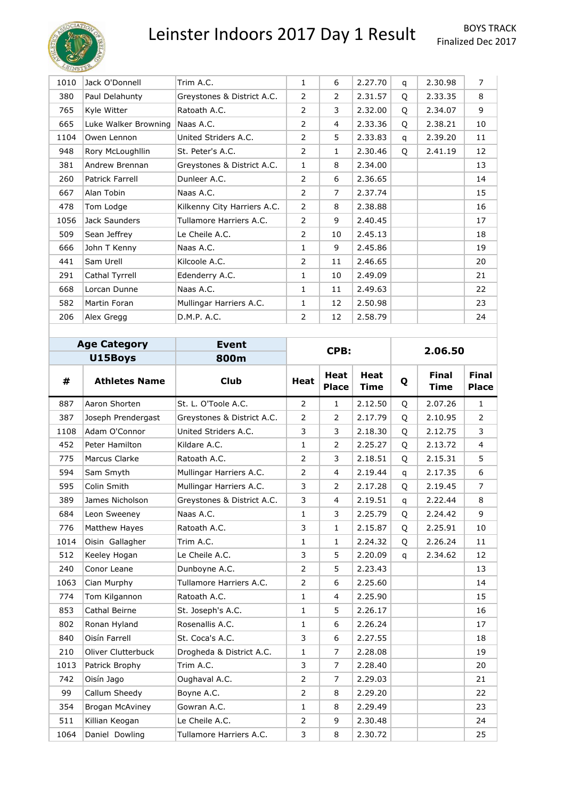

| 1010 | Jack O'Donnell       | Trim A.C.                   | $\mathbf{1}$   | 6              | 2.27.70 | q | 2.30.98 | $\overline{7}$ |
|------|----------------------|-----------------------------|----------------|----------------|---------|---|---------|----------------|
| 380  | Paul Delahunty       | Greystones & District A.C.  | $\overline{2}$ | $\overline{2}$ | 2.31.57 | Q | 2.33.35 | 8              |
| 765  | Kyle Witter          | Ratoath A.C.                | $\overline{2}$ | 3              | 2.32.00 | Q | 2.34.07 | 9              |
| 665  | Luke Walker Browning | Naas A.C.                   | $\overline{2}$ | 4              | 2.33.36 | Q | 2.38.21 | 10             |
| 1104 | Owen Lennon          | United Striders A.C.        | $\overline{2}$ | 5              | 2.33.83 | q | 2.39.20 | 11             |
| 948  | Rory McLoughllin     | St. Peter's A.C.            | $\overline{2}$ | 1              | 2.30.46 | Q | 2.41.19 | 12             |
| 381  | Andrew Brennan       | Greystones & District A.C.  | $\mathbf{1}$   | 8              | 2.34.00 |   |         | 13             |
| 260  | Patrick Farrell      | Dunleer A.C.                | $\overline{2}$ | 6              | 2.36.65 |   |         | 14             |
| 667  | Alan Tobin           | Naas A.C.                   | 2              | 7              | 2.37.74 |   |         | 15             |
| 478  | Tom Lodge            | Kilkenny City Harriers A.C. | $\overline{2}$ | 8              | 2.38.88 |   |         | 16             |
| 1056 | Jack Saunders        | Tullamore Harriers A.C.     | $\overline{2}$ | 9              | 2.40.45 |   |         | 17             |
| 509  | Sean Jeffrey         | Le Cheile A.C.              | $\overline{2}$ | 10             | 2.45.13 |   |         | 18             |
| 666  | John T Kenny         | Naas A.C.                   | $\mathbf{1}$   | 9              | 2.45.86 |   |         | 19             |
| 441  | Sam Urell            | Kilcoole A.C.               | $\overline{2}$ | 11             | 2.46.65 |   |         | 20             |
| 291  | Cathal Tyrrell       | Edenderry A.C.              | $\mathbf{1}$   | 10             | 2.49.09 |   |         | 21             |
| 668  | Lorcan Dunne         | Naas A.C.                   | $\mathbf{1}$   | 11             | 2.49.63 |   |         | 22             |
| 582  | Martin Foran         | Mullingar Harriers A.C.     | $\mathbf{1}$   | 12             | 2.50.98 |   |         | 23             |
| 206  | Alex Gregg           | D.M.P. A.C.                 | 2              | 12             | 2.58.79 |   |         | 24             |

| <b>Age Category</b> |                      | <b>Event</b>               |                | CPB:                 |                            | 2.06.50      |                             |                              |  |
|---------------------|----------------------|----------------------------|----------------|----------------------|----------------------------|--------------|-----------------------------|------------------------------|--|
|                     | U15Boys              | 800m                       |                |                      |                            |              |                             |                              |  |
| #                   | <b>Athletes Name</b> | <b>Club</b>                | <b>Heat</b>    | Heat<br><b>Place</b> | <b>Heat</b><br><b>Time</b> | Q            | <b>Final</b><br><b>Time</b> | <b>Final</b><br><b>Place</b> |  |
| 887                 | Aaron Shorten        | St. L. O'Toole A.C.        | $\overline{2}$ | $\mathbf{1}$         | 2.12.50                    | Q            | 2.07.26                     | $\mathbf{1}$                 |  |
| 387                 | Joseph Prendergast   | Greystones & District A.C. | $\overline{2}$ | $\overline{2}$       | 2.17.79                    | O            | 2.10.95                     | $\overline{2}$               |  |
| 1108                | Adam O'Connor        | United Striders A.C.       | 3              | 3                    | 2.18.30                    | O            | 2.12.75                     | 3                            |  |
| 452                 | Peter Hamilton       | Kildare A.C.               | $\mathbf{1}$   | $\overline{2}$       | 2.25.27                    | Q            | 2.13.72                     | $\overline{4}$               |  |
| 775                 | Marcus Clarke        | Ratoath A.C.               | 2              | 3                    | 2.18.51                    | Q            | 2.15.31                     | 5                            |  |
| 594                 | Sam Smyth            | Mullingar Harriers A.C.    | 2              | 4                    | 2.19.44                    | q            | 2.17.35                     | 6                            |  |
| 595                 | Colin Smith          | Mullingar Harriers A.C.    | 3              | 2                    | 2.17.28                    | Q            | 2.19.45                     | $\overline{7}$               |  |
| 389                 | James Nicholson      | Greystones & District A.C. | 3              | 4                    | 2.19.51                    | $\mathsf{q}$ | 2.22.44                     | 8                            |  |
| 684                 | Leon Sweeney         | Naas A.C.                  | $\mathbf{1}$   | 3                    | 2.25.79                    | Q            | 2.24.42                     | 9                            |  |
| 776                 | Matthew Hayes        | Ratoath A.C.               | 3              | 1                    | 2.15.87                    | Q            | 2.25.91                     | 10                           |  |
| 1014                | Oisin Gallagher      | Trim A.C.                  | $\mathbf{1}$   | $\mathbf{1}$         | 2.24.32                    | Q            | 2.26.24                     | 11                           |  |
| 512                 | Keeley Hogan         | Le Cheile A.C.             | 3              | 5                    | 2.20.09                    | q            | 2.34.62                     | 12                           |  |
| 240                 | Conor Leane          | Dunboyne A.C.              | $\overline{2}$ | 5                    | 2.23.43                    |              |                             | 13                           |  |
| 1063                | Cian Murphy          | Tullamore Harriers A.C.    | $\overline{2}$ | 6                    | 2.25.60                    |              |                             | 14                           |  |
| 774                 | Tom Kilgannon        | Ratoath A.C.               | $\mathbf{1}$   | $\overline{4}$       | 2.25.90                    |              |                             | 15                           |  |
| 853                 | Cathal Beirne        | St. Joseph's A.C.          | $\mathbf{1}$   | 5                    | 2.26.17                    |              |                             | 16                           |  |
| 802                 | Ronan Hyland         | Rosenallis A.C.            | $\mathbf{1}$   | 6                    | 2.26.24                    |              |                             | 17                           |  |
| 840                 | Oisín Farrell        | St. Coca's A.C.            | 3              | 6                    | 2.27.55                    |              |                             | 18                           |  |
| 210                 | Oliver Clutterbuck   | Drogheda & District A.C.   | 1              | $\overline{7}$       | 2.28.08                    |              |                             | 19                           |  |
| 1013                | Patrick Brophy       | Trim A.C.                  | 3              | $\overline{7}$       | 2.28.40                    |              |                             | 20                           |  |
| 742                 | Oisín Jago           | Oughaval A.C.              | 2              | $\overline{7}$       | 2.29.03                    |              |                             | 21                           |  |
| 99                  | Callum Sheedy        | Boyne A.C.                 | $\overline{2}$ | 8                    | 2.29.20                    |              |                             | 22                           |  |
| 354                 | Brogan McAviney      | Gowran A.C.                | 1              | 8                    | 2.29.49                    |              |                             | 23                           |  |
| 511                 | Killian Keogan       | Le Cheile A.C.             | 2              | 9                    | 2.30.48                    |              |                             | 24                           |  |
| 1064                | Daniel Dowling       | Tullamore Harriers A.C.    | 3              | 8                    | 2.30.72                    |              |                             | 25                           |  |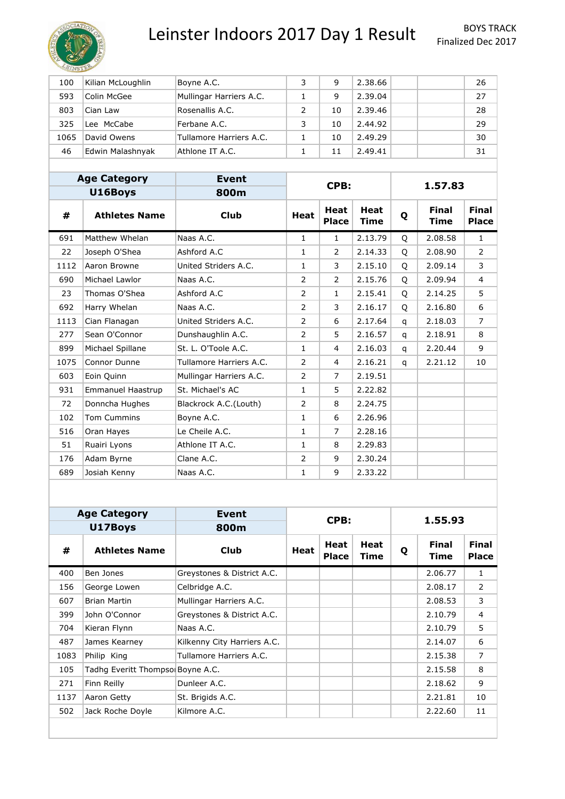

| 100  | Kilian McLoughlin | Boyne A.C.              | 3 | 9  | 2.38.66 |  | 26 |
|------|-------------------|-------------------------|---|----|---------|--|----|
| 593  | Colin McGee       | Mullingar Harriers A.C. |   | 9  | 2.39.04 |  | 27 |
| 803  | Cian Law          | Rosenallis A.C.         |   | 10 | 2.39.46 |  | 28 |
| 325  | Lee McCabe        | Ferbane A.C.            | 3 | 10 | 2.44.92 |  | 29 |
| 1065 | David Owens       | Tullamore Harriers A.C. |   | 10 | 2.49.29 |  | 30 |
| 46   | Edwin Malashnyak  | Athlone IT A.C.         |   | 11 | 2.49.41 |  | 31 |

|      | <b>Age Category</b>      | <b>Event</b>            |              |                             |                            | 1.57.83 |                      | CPB:                  |  |  |
|------|--------------------------|-------------------------|--------------|-----------------------------|----------------------------|---------|----------------------|-----------------------|--|--|
|      | U16Boys                  | 800m                    |              |                             |                            |         |                      |                       |  |  |
| #    | <b>Athletes Name</b>     | <b>Club</b>             | <b>Heat</b>  | <b>Heat</b><br><b>Place</b> | <b>Heat</b><br><b>Time</b> | Q       | <b>Final</b><br>Time | <b>Final</b><br>Place |  |  |
| 691  | Matthew Whelan           | Naas A.C.               | $\mathbf{1}$ | $\mathbf{1}$                | 2.13.79                    | Q       | 2.08.58              | $\mathbf{1}$          |  |  |
| 22   | Joseph O'Shea            | Ashford A.C             | 1            | $\overline{2}$              | 2.14.33                    | O       | 2.08.90              | $\overline{2}$        |  |  |
| 1112 | Aaron Browne             | United Striders A.C.    | 1            | 3                           | 2.15.10                    | O       | 2.09.14              | 3                     |  |  |
| 690  | Michael Lawlor           | Naas A.C.               | 2            | $\overline{2}$              | 2.15.76                    | O       | 2.09.94              | $\overline{4}$        |  |  |
| 23   | Thomas O'Shea            | Ashford A.C             | 2            | $\mathbf{1}$                | 2.15.41                    | O       | 2.14.25              | 5                     |  |  |
| 692  | Harry Whelan             | Naas A.C.               | 2            | 3                           | 2.16.17                    | Q       | 2.16.80              | 6                     |  |  |
| 1113 | Cian Flanagan            | United Striders A.C.    | 2            | 6                           | 2.17.64                    | q       | 2.18.03              | $\overline{7}$        |  |  |
| 277  | Sean O'Connor            | Dunshaughlin A.C.       | 2            | 5                           | 2.16.57                    | q       | 2.18.91              | 8                     |  |  |
| 899  | Michael Spillane         | St. L. O'Toole A.C.     | 1            | 4                           | 2.16.03                    | q       | 2.20.44              | 9                     |  |  |
| 1075 | Connor Dunne             | Tullamore Harriers A.C. | 2            | $\overline{4}$              | 2.16.21                    | q       | 2.21.12              | 10                    |  |  |
| 603  | Eoin Quinn               | Mullingar Harriers A.C. | 2            | $\overline{7}$              | 2.19.51                    |         |                      |                       |  |  |
| 931  | <b>Emmanuel Haastrup</b> | St. Michael's AC        | 1            | 5                           | 2.22.82                    |         |                      |                       |  |  |
| 72   | Donncha Hughes           | Blackrock A.C.(Louth)   | 2            | 8                           | 2.24.75                    |         |                      |                       |  |  |
| 102  | <b>Tom Cummins</b>       | Boyne A.C.              | 1            | 6                           | 2.26.96                    |         |                      |                       |  |  |
| 516  | Oran Hayes               | Le Cheile A.C.          | 1            | $\overline{7}$              | 2.28.16                    |         |                      |                       |  |  |
| 51   | Ruairi Lyons             | Athlone IT A.C.         | 1            | 8                           | 2.29.83                    |         |                      |                       |  |  |
| 176  | Adam Byrne               | Clane A.C.              | 2            | 9                           | 2.30.24                    |         |                      |                       |  |  |
| 689  | Josiah Kenny             | Naas A.C.               | 1            | 9                           | 2.33.22                    |         |                      |                       |  |  |

|      | <b>Age Category</b>              | <b>Event</b>                | CPB:        |                             |              | 1.55.93 |                             |                              |  |
|------|----------------------------------|-----------------------------|-------------|-----------------------------|--------------|---------|-----------------------------|------------------------------|--|
|      | U17Boys                          | 800m                        |             |                             |              |         |                             |                              |  |
| #    | <b>Athletes Name</b>             | <b>Club</b>                 | <b>Heat</b> | <b>Heat</b><br><b>Place</b> | Heat<br>Time | Q       | <b>Final</b><br><b>Time</b> | <b>Final</b><br><b>Place</b> |  |
| 400  | Ben Jones                        | Greystones & District A.C.  |             |                             |              |         | 2.06.77                     | $\mathbf{1}$                 |  |
| 156  | George Lowen                     | Celbridge A.C.              |             |                             |              |         | 2.08.17                     | 2                            |  |
| 607  | <b>Brian Martin</b>              | Mullingar Harriers A.C.     |             |                             |              |         | 2.08.53                     | 3                            |  |
| 399  | John O'Connor                    | Greystones & District A.C.  |             |                             |              |         | 2.10.79                     | $\overline{4}$               |  |
| 704  | Kieran Flynn                     | Naas A.C.                   |             |                             |              |         | 2.10.79                     | 5                            |  |
| 487  | James Kearney                    | Kilkenny City Harriers A.C. |             |                             |              |         | 2.14.07                     | 6                            |  |
| 1083 | Philip King                      | Tullamore Harriers A.C.     |             |                             |              |         | 2.15.38                     | $\overline{7}$               |  |
| 105  | Tadhg Everitt Thompso Boyne A.C. |                             |             |                             |              |         | 2.15.58                     | 8                            |  |
| 271  | Finn Reilly                      | Dunleer A.C.                |             |                             |              |         | 2.18.62                     | 9                            |  |
| 1137 | Aaron Getty                      | St. Brigids A.C.            |             |                             |              |         | 2.21.81                     | 10                           |  |
| 502  | Jack Roche Doyle                 | Kilmore A.C.                |             |                             |              |         | 2.22.60                     | 11                           |  |
|      |                                  |                             |             |                             |              |         |                             |                              |  |